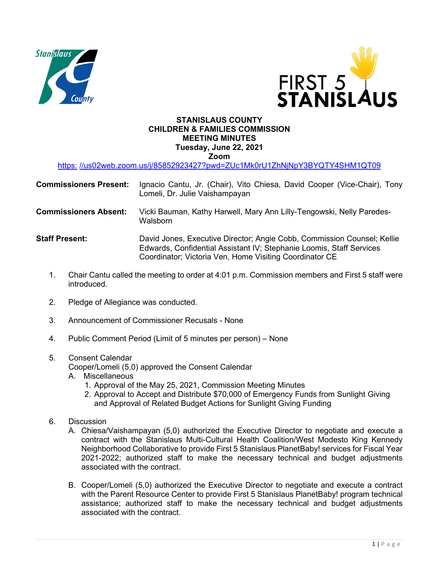



## **STANISLAUS COUNTY CHILDREN & FAMILIES COMMISSION MEETING MINUTES Tuesday, June 22, 2021**

**Zoom** 

https: //us02web.zoom.us/j/85852923427?pwd=ZUc1Mk0rU1ZhNjNpY3BYQTY4SHM1QT09

| <b>Commissioners Present:</b> | Ignacio Cantu, Jr. (Chair), Vito Chiesa, David Cooper (Vice-Chair), Tony<br>Lomeli, Dr. Julie Vaishampayan                                      |
|-------------------------------|-------------------------------------------------------------------------------------------------------------------------------------------------|
| <b>Commissioners Absent:</b>  | Vicki Bauman, Kathy Harwell, Mary Ann Lilly-Tengowski, Nelly Paredes-<br>Walsborn                                                               |
| <b>Staff Present:</b>         | David Jones, Executive Director; Angie Cobb, Commission Counsel; Kellie<br>Edwards, Confidential Assistant IV; Stephanie Loomis, Staff Services |

1. Chair Cantu called the meeting to order at 4:01 p.m. Commission members and First 5 staff were introduced.

Coordinator; Victoria Ven, Home Visiting Coordinator CE

- 2. Pledge of Allegiance was conducted.
- 3. Announcement of Commissioner Recusals None
- 4. Public Comment Period (Limit of 5 minutes per person) None
- 5. Consent Calendar

Cooper/Lomeli (5,0) approved the Consent Calendar

- A. Miscellaneous
	- 1. Approval of the May 25, 2021, Commission Meeting Minutes
	- 2. Approval to Accept and Distribute \$70,000 of Emergency Funds from Sunlight Giving and Approval of Related Budget Actions for Sunlight Giving Funding
- 6. Discussion
	- A. Chiesa/Vaishampayan (5,0) authorized the Executive Director to negotiate and execute a contract with the Stanislaus Multi-Cultural Health Coalition/West Modesto King Kennedy Neighborhood Collaborative to provide First 5 Stanislaus PlanetBaby! services for Fiscal Year 2021-2022; authorized staff to make the necessary technical and budget adjustments associated with the contract.
	- B. Cooper/Lomeli (5,0) authorized the Executive Director to negotiate and execute a contract with the Parent Resource Center to provide First 5 Stanislaus PlanetBaby! program technical assistance; authorized staff to make the necessary technical and budget adjustments associated with the contract.